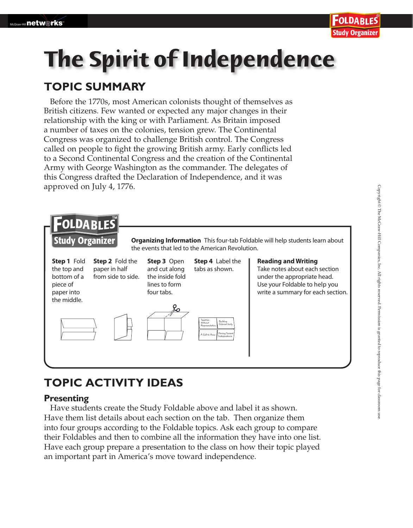# **The Spirit of Independence**

## **TOPIC SUMMARY**

Before the 1770s, most American colonists thought of themselves as British citizens. Few wanted or expected any major changes in their relationship with the king or with Parliament. As Britain imposed a number of taxes on the colonies, tension grew. The Continental Congress was organized to challenge British control. The Congress called on people to fight the growing British army. Early conflicts led to a Second Continental Congress and the creation of the Continental Army with George Washington as the commander. The delegates of this Congress drafted the Declaration of Independence, and it was approved on July 4, 1776.



## **TOPIC ACTIVITY IDEAS**

#### **Presenting**

 Have students create the Study Foldable above and label it as shown. Have them list details about each section on the tab. Then organize them into four groups according to the Foldable topics. Ask each group to compare their Foldables and then to combine all the information they have into one list. Have each group prepare a presentation to the class on how their topic played an important part in America's move toward independence.